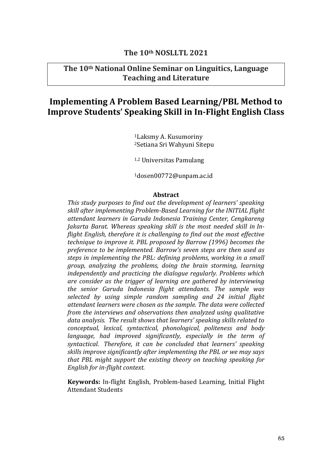# **The 10th NOSLLTL 2021**

# **The 10th National Online Seminar on Linguitics, Language Teaching and Literature**

# **Implementing A Problem Based Learning/PBL Method to Improve Students' Speaking Skill in In-Flight English Class**

<sup>1</sup>Laksmy A. Kusumoriny <sup>2</sup>Setiana Sri Wahyuni Sitepu

1,2 Universitas Pamulang

<sup>1</sup>dosen00772@unpam.ac.id

### **Abstract**

*This study purposes to find out the development of learners' speaking skill after implementing Problem-Based Learning for the INITIAL flight attendant learners in Garuda Indonesia Training Center, Cengkareng Jakarta Barat. Whereas speaking skill is the most needed skill in Inflight English, therefore it is challenging to find out the most effective technique to improve it. PBL proposed by Barrow (1996) becomes the preference to be implemented. Barrow's seven steps are then used as steps in implementing the PBL: defining problems, working in a small group, analyzing the problems, doing the brain storming, learning independently and practicing the dialogue regularly. Problems which are consider as the trigger of learning are gathered by interviewing the senior Garuda Indonesia flight attendants. The sample was selected by using simple random sampling and 24 initial flight attendant learners were chosen as the sample. The data were collected from the interviews and observations then analyzed using qualitative data analysis. The result shows that learners' speaking skills related to conceptual, lexical, syntactical, phonological, politeness and body language, had improved significantly, especially in the term of syntactical. Therefore, it can be concluded that learners' speaking skills improve significantly after implementing the PBL or we may says that PBL might support the existing theory on teaching speaking for English for in-flight context.* 

**Keywords:** In-flight English, Problem-based Learning, Initial Flight Attendant Students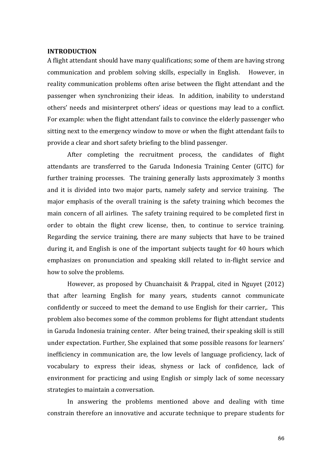### **INTRODUCTION**

A flight attendant should have many qualifications; some of them are having strong communication and problem solving skills, especially in English. However, in reality communication problems often arise between the flight attendant and the passenger when synchronizing their ideas. In addition, inability to understand others' needs and misinterpret others' ideas or questions may lead to a conflict. For example: when the flight attendant fails to convince the elderly passenger who sitting next to the emergency window to move or when the flight attendant fails to provide a clear and short safety briefing to the blind passenger.

After completing the recruitment process, the candidates of flight attendants are transferred to the Garuda Indonesia Training Center (GITC) for further training processes. The training generally lasts approximately 3 months and it is divided into two major parts, namely safety and service training. The major emphasis of the overall training is the safety training which becomes the main concern of all airlines. The safety training required to be completed first in order to obtain the flight crew license, then, to continue to service training. Regarding the service training, there are many subjects that have to be trained during it, and English is one of the important subjects taught for 40 hours which emphasizes on pronunciation and speaking skill related to in-flight service and how to solve the problems.

However, as proposed by Chuanchaisit & Prappal, cited in Nguyet (2012) that after learning English for many years, students cannot communicate confidently or succeed to meet the demand to use English for their carrier,. This problem also becomes some of the common problems for flight attendant students in Garuda Indonesia training center. After being trained, their speaking skill is still under expectation. Further, She explained that some possible reasons for learners' inefficiency in communication are, the low levels of language proficiency, lack of vocabulary to express their ideas, shyness or lack of confidence, lack of environment for practicing and using English or simply lack of some necessary strategies to maintain a conversation.

In answering the problems mentioned above and dealing with time constrain therefore an innovative and accurate technique to prepare students for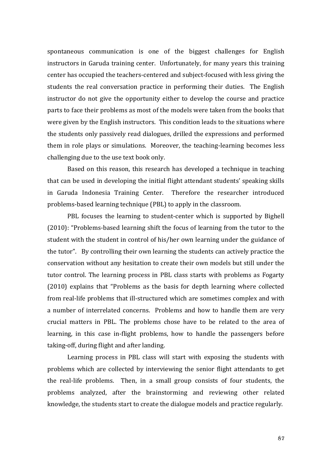spontaneous communication is one of the biggest challenges for English instructors in Garuda training center. Unfortunately, for many years this training center has occupied the teachers-centered and subject-focused with less giving the students the real conversation practice in performing their duties. The English instructor do not give the opportunity either to develop the course and practice parts to face their problems as most of the models were taken from the books that were given by the English instructors. This condition leads to the situations where the students only passively read dialogues, drilled the expressions and performed them in role plays or simulations. Moreover, the teaching-learning becomes less challenging due to the use text book only.

Based on this reason, this research has developed a technique in teaching that can be used in developing the initial flight attendant students' speaking skills in Garuda Indonesia Training Center. Therefore the researcher introduced problems-based learning technique (PBL) to apply in the classroom.

PBL focuses the learning to student-center which is supported by Bighell (2010): "Problems-based learning shift the focus of learning from the tutor to the student with the student in control of his/her own learning under the guidance of the tutor". By controlling their own learning the students can actively practice the conservation without any hesitation to create their own models but still under the tutor control. The learning process in PBL class starts with problems as Fogarty (2010) explains that "Problems as the basis for depth learning where collected from real-life problems that ill-structured which are sometimes complex and with a number of interrelated concerns. Problems and how to handle them are very crucial matters in PBL. The problems chose have to be related to the area of learning, in this case in-flight problems, how to handle the passengers before taking-off, during flight and after landing.

Learning process in PBL class will start with exposing the students with problems which are collected by interviewing the senior flight attendants to get the real-life problems. Then, in a small group consists of four students, the problems analyzed, after the brainstorming and reviewing other related knowledge, the students start to create the dialogue models and practice regularly.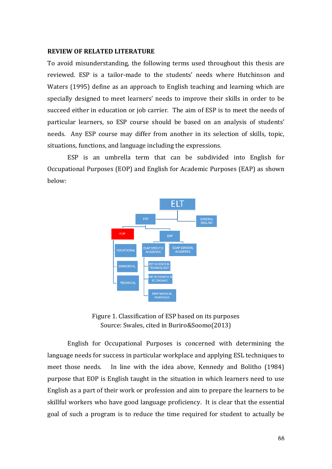### **REVIEW OF RELATED LITERATURE**

To avoid misunderstanding, the following terms used throughout this thesis are reviewed. ESP is a tailor-made to the students' needs where Hutchinson and Waters (1995) define as an approach to English teaching and learning which are specially designed to meet learners' needs to improve their skills in order to be succeed either in education or job carrier. The aim of ESP is to meet the needs of particular learners, so ESP course should be based on an analysis of students' needs. Any ESP course may differ from another in its selection of skills, topic, situations, functions, and language including the expressions.

ESP is an umbrella term that can be subdivided into English for Occupational Purposes (EOP) and English for Academic Purposes (EAP) as shown below:



Figure 1. Classification of ESP based on its purposes Source: Swales, cited in Buriro&Soomo(2013)

English for Occupational Purposes is concerned with determining the language needs for success in particular workplace and applying ESL techniques to meet those needs. In line with the idea above, Kennedy and Bolitho (1984) purpose that EOP is English taught in the situation in which learners need to use English as a part of their work or profession and aim to prepare the learners to be skillful workers who have good language proficiency. It is clear that the essential goal of such a program is to reduce the time required for student to actually be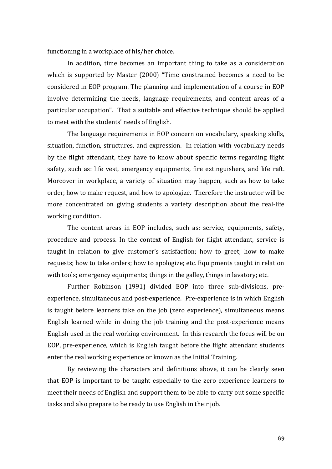functioning in a workplace of his/her choice.

In addition, time becomes an important thing to take as a consideration which is supported by Master (2000) "Time constrained becomes a need to be considered in EOP program. The planning and implementation of a course in EOP involve determining the needs, language requirements, and content areas of a particular occupation". That a suitable and effective technique should be applied to meet with the students' needs of English.

The language requirements in EOP concern on vocabulary, speaking skills, situation, function, structures, and expression. In relation with vocabulary needs by the flight attendant, they have to know about specific terms regarding flight safety, such as: life vest, emergency equipments, fire extinguishers, and life raft. Moreover in workplace, a variety of situation may happen, such as how to take order, how to make request, and how to apologize. Therefore the instructor will be more concentrated on giving students a variety description about the real-life working condition.

The content areas in EOP includes, such as: service, equipments, safety, procedure and process. In the context of English for flight attendant, service is taught in relation to give customer's satisfaction; how to greet; how to make requests; how to take orders; how to apologize; etc. Equipments taught in relation with tools; emergency equipments; things in the galley, things in lavatory; etc.

Further Robinson (1991) divided EOP into three sub-divisions, preexperience, simultaneous and post-experience. Pre-experience is in which English is taught before learners take on the job (zero experience), simultaneous means English learned while in doing the job training and the post-experience means English used in the real working environment. In this research the focus will be on EOP, pre-experience, which is English taught before the flight attendant students enter the real working experience or known as the Initial Training.

By reviewing the characters and definitions above, it can be clearly seen that EOP is important to be taught especially to the zero experience learners to meet their needs of English and support them to be able to carry out some specific tasks and also prepare to be ready to use English in their job.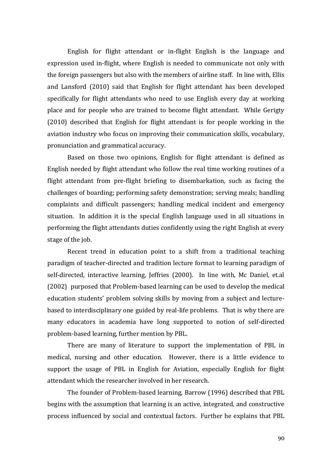English for flight attendant or in-flight English is the language and expression used in-flight, where English is needed to communicate not only with the foreign passengers but also with the members of airline staff. In line with, Ellis and Lansford (2010) said that English for flight attendant has been developed specifically for flight attendants who need to use English every day at working place and for people who are trained to become flight attendant. While Gerigty (2010) described that English for flight attendant is for people working in the aviation industry who focus on improving their communication skills, vocabulary, pronunciation and grammatical accuracy.

Based on those two opinions, English for flight attendant is defined as English needed by flight attendant who follow the real time working routines of a flight attendant from pre-flight briefing to disembarkation, such as facing the challenges of boarding; performing safety demonstration; serving meals; handling complaints and difficult passengers; handling medical incident and emergency situation. In addition it is the special English language used in all situations in performing the flight attendants duties confidently using the right English at every stage of the job.

Recent trend in education point to a shift from a traditional teaching paradigm of teacher-directed and tradition lecture format to learning paradigm of self-directed, interactive learning, Jeffries (2000). In line with, Mc Daniel, et.al (2002) purposed that Problem-based learning can be used to develop the medical education students' problem solving skills by moving from a subject and lecturebased to interdisciplinary one guided by real-life problems. That is why there are many educators in academia have long supported to notion of self-directed problem-based learning, further mention by PBL.

There are many of literature to support the implementation of PBL in medical, nursing and other education. However, there is a little evidence to support the usage of PBL in English for Aviation, especially English for flight attendant which the researcher involved in her research.

The founder of Problem-based learning, Barrow (1996) described that PBL begins with the assumption that learning is an active, integrated, and constructive process influenced by social and contextual factors. Further he explains that PBL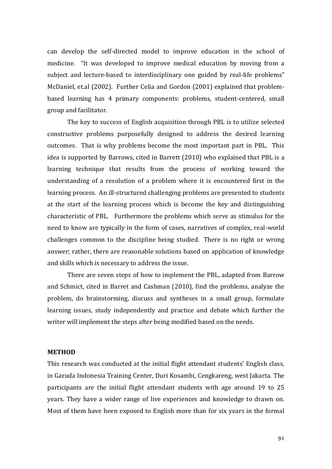can develop the self-directed model to improve education in the school of medicine. "It was developed to improve medical education by moving from a subject and lecture-based to interdisciplinary one guided by real-life problems" McDaniel, et.al (2002). Further Celia and Gordon (2001) explained that problembased learning has 4 primary components: problems, student-centered, small group and facilitator.

The key to success of English acquisition through PBL is to utilize selected constructive problems purposefully designed to address the desired learning outcomes. That is why problems become the most important part in PBL. This idea is supported by Barrows, cited in Barrett (2010) who explained that PBL is a learning technique that results from the process of working toward the understanding of a resolution of a problem where it is encountered first in the learning process. An ill-structured challenging problems are presented to students at the start of the learning process which is become the key and distinguishing characteristic of PBL. Furthermore the problems which serve as stimulus for the need to know are typically in the form of cases, narratives of complex, real-world challenges common to the discipline being studied. There is no right or wrong answer; rather, there are reasonable solutions based on application of knowledge and skills which is necessary to address the issue.

There are seven steps of how to implement the PBL, adapted from Barrow and Schmict, cited in Barret and Cashman (2010), find the problems, analyze the problem, do brainstorming, discuss and syntheses in a small group, formulate learning issues, study independently and practice and debate which further the writer will implement the steps after being modified based on the needs.

### **METHOD**

This research was conducted at the initial flight attendant students' English class, in Garuda Indonesia Training Center, Duri Kosambi, Cengkareng, west Jakarta. The participants are the initial flight attendant students with age around 19 to 25 years. They have a wider range of live experiences and knowledge to drawn on. Most of them have been exposed to English more than for six years in the formal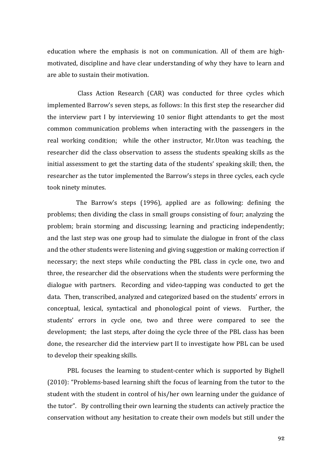education where the emphasis is not on communication. All of them are highmotivated, discipline and have clear understanding of why they have to learn and are able to sustain their motivation.

 Class Action Research (CAR) was conducted for three cycles which implemented Barrow's seven steps, as follows: In this first step the researcher did the interview part I by interviewing 10 senior flight attendants to get the most common communication problems when interacting with the passengers in the real working condition; while the other instructor, Mr.Uton was teaching, the researcher did the class observation to assess the students speaking skills as the initial assessment to get the starting data of the students' speaking skill; then, the researcher as the tutor implemented the Barrow's steps in three cycles, each cycle took ninety minutes.

 The Barrow's steps (1996), applied are as following: defining the problems; then dividing the class in small groups consisting of four; analyzing the problem; brain storming and discussing; learning and practicing independently; and the last step was one group had to simulate the dialogue in front of the class and the other students were listening and giving suggestion or making correction if necessary; the next steps while conducting the PBL class in cycle one, two and three, the researcher did the observations when the students were performing the dialogue with partners. Recording and video-tapping was conducted to get the data. Then, transcribed, analyzed and categorized based on the students' errors in conceptual, lexical, syntactical and phonological point of views. Further, the students' errors in cycle one, two and three were compared to see the development; the last steps, after doing the cycle three of the PBL class has been done, the researcher did the interview part II to investigate how PBL can be used to develop their speaking skills.

PBL focuses the learning to student-center which is supported by Bighell (2010): "Problems-based learning shift the focus of learning from the tutor to the student with the student in control of his/her own learning under the guidance of the tutor". By controlling their own learning the students can actively practice the conservation without any hesitation to create their own models but still under the

92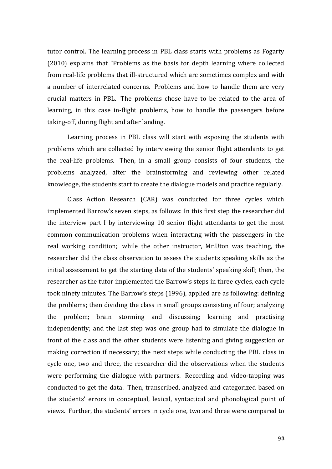tutor control. The learning process in PBL class starts with problems as Fogarty (2010) explains that "Problems as the basis for depth learning where collected from real-life problems that ill-structured which are sometimes complex and with a number of interrelated concerns. Problems and how to handle them are very crucial matters in PBL. The problems chose have to be related to the area of learning, in this case in-flight problems, how to handle the passengers before taking-off, during flight and after landing.

Learning process in PBL class will start with exposing the students with problems which are collected by interviewing the senior flight attendants to get the real-life problems. Then, in a small group consists of four students, the problems analyzed, after the brainstorming and reviewing other related knowledge, the students start to create the dialogue models and practice regularly.

Class Action Research (CAR) was conducted for three cycles which implemented Barrow's seven steps, as follows: In this first step the researcher did the interview part I by interviewing 10 senior flight attendants to get the most common communication problems when interacting with the passengers in the real working condition; while the other instructor, Mr.Uton was teaching, the researcher did the class observation to assess the students speaking skills as the initial assessment to get the starting data of the students' speaking skill; then, the researcher as the tutor implemented the Barrow's steps in three cycles, each cycle took ninety minutes. The Barrow's steps (1996), applied are as following: defining the problems; then dividing the class in small groups consisting of four; analyzing the problem; brain storming and discussing; learning and practising independently; and the last step was one group had to simulate the dialogue in front of the class and the other students were listening and giving suggestion or making correction if necessary; the next steps while conducting the PBL class in cycle one, two and three, the researcher did the observations when the students were performing the dialogue with partners. Recording and video-tapping was conducted to get the data. Then, transcribed, analyzed and categorized based on the students' errors in conceptual, lexical, syntactical and phonological point of views. Further, the students' errors in cycle one, two and three were compared to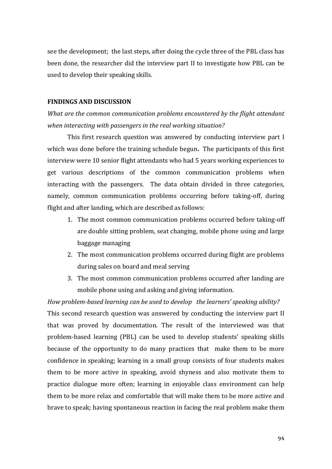see the development; the last steps, after doing the cycle three of the PBL class has been done, the researcher did the interview part II to investigate how PBL can be used to develop their speaking skills.

## **FINDINGS AND DISCUSSION**

*What are the common communication problems encountered by the flight attendant when interacting with passengers in the real working situation?*

This first research question was answered by conducting interview part I which was done before the training schedule begun**.** The participants of this first interview were 10 senior flight attendants who had 5 years working experiences to get various descriptions of the common communication problems when interacting with the passengers. The data obtain divided in three categories, namely, common communication problems occurring before taking-off, during flight and after landing, which are described as follows:

- 1. The most common communication problems occurred before taking-off are double sitting problem, seat changing, mobile phone using and large baggage managing
- 2. The most communication problems occurred during flight are problems during sales on board and meal serving
- 3. The most common communication problems occurred after landing are mobile phone using and asking and giving information.

*How problem-based learning can be used to develop the learners' speaking ability?* This second research question was answered by conducting the interview part II that was proved by documentation. The result of the interviewed was that problem-based learning (PBL) can be used to develop students' speaking skills because of the opportunity to do many practices that make them to be more confidence in speaking; learning in a small group consists of four students makes them to be more active in speaking, avoid shyness and also motivate them to practice dialogue more often; learning in enjoyable class environment can help them to be more relax and comfortable that will make them to be more active and brave to speak; having spontaneous reaction in facing the real problem make them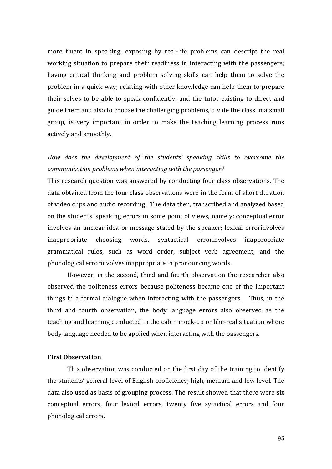more fluent in speaking; exposing by real-life problems can descript the real working situation to prepare their readiness in interacting with the passengers; having critical thinking and problem solving skills can help them to solve the problem in a quick way; relating with other knowledge can help them to prepare their selves to be able to speak confidently; and the tutor existing to direct and guide them and also to choose the challenging problems, divide the class in a small group, is very important in order to make the teaching learning process runs actively and smoothly.

# *How does the development of the students' speaking skills to overcome the communication problems when interacting with the passenger?*

This research question was answered by conducting four class observations. The data obtained from the four class observations were in the form of short duration of video clips and audio recording. The data then, transcribed and analyzed based on the students' speaking errors in some point of views, namely: conceptual error involves an unclear idea or message stated by the speaker; lexical errorinvolves inappropriate choosing words, syntactical errorinvolves inappropriate grammatical rules, such as word order, subject verb agreement; and the phonological errorinvolves inappropriate in pronouncing words.

However, in the second, third and fourth observation the researcher also observed the politeness errors because politeness became one of the important things in a formal dialogue when interacting with the passengers. Thus, in the third and fourth observation, the body language errors also observed as the teaching and learning conducted in the cabin mock-up or like-real situation where body language needed to be applied when interacting with the passengers.

## **First Observation**

This observation was conducted on the first day of the training to identify the students' general level of English proficiency; high, medium and low level. The data also used as basis of grouping process. The result showed that there were six conceptual errors, four lexical errors, twenty five sytactical errors and four phonological errors.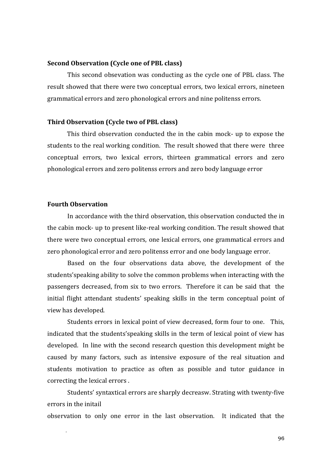### **Second Observation (Cycle one of PBL class)**

This second obsevation was conducting as the cycle one of PBL class. The result showed that there were two conceptual errors, two lexical errors, nineteen grammatical errors and zero phonological errors and nine politenss errors.

### **Third Observation (Cycle two of PBL class)**

This third observation conducted the in the cabin mock- up to expose the students to the real working condition. The result showed that there were three conceptual errors, two lexical errors, thirteen grammatical errors and zero phonological errors and zero politenss errors and zero body language error

# **Fourth Observation**

In accordance with the third observation, this observation conducted the in the cabin mock- up to present like-real working condition. The result showed that there were two conceptual errors, one lexical errors, one grammatical errors and zero phonological error and zero politenss error and one body language error.

Based on the four observations data above, the development of the students'speaking ability to solve the common problems when interacting with the passengers decreased, from six to two errors. Therefore it can be said that the initial flight attendant students' speaking skills in the term conceptual point of view has developed.

Students errors in lexical point of view decreased, form four to one. This, indicated that the students'speaking skills in the term of lexical point of view has developed. In line with the second research question this development might be caused by many factors, such as intensive exposure of the real situation and students motivation to practice as often as possible and tutor guidance in correcting the lexical errors .

Students' syntaxtical errors are sharply decreasw. Strating with twenty-five errors in the initail

observation to only one error in the last observation. It indicated that the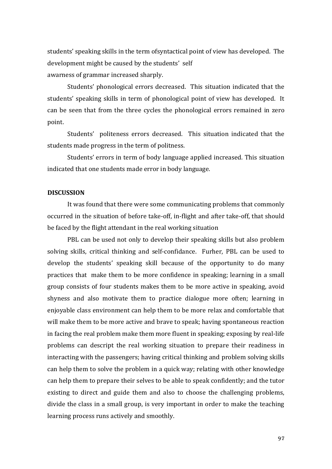students' speaking skills in the term ofsyntactical point of view has developed. The development might be caused by the students' self awarness of grammar increased sharply.

Students' phonological errors decreased. This situation indicated that the students' speaking skills in term of phonological point of view has developed. It can be seen that from the three cycles the phonological errors remained in zero point.

Students' politeness errors decreased. This situation indicated that the students made progress in the term of politness.

Students' errors in term of body language applied increased. This situation indicated that one students made error in body language.

## **DISCUSSION**

It was found that there were some communicating problems that commonly occurred in the situation of before take-off, in-flight and after take-off, that should be faced by the flight attendant in the real working situation

PBL can be used not only to develop their speaking skills but also problem solving skills, critical thinking and self-confidance. Furher, PBL can be used to develop the students' speaking skill because of the opportunity to do many practices that make them to be more confidence in speaking; learning in a small group consists of four students makes them to be more active in speaking, avoid shyness and also motivate them to practice dialogue more often; learning in enjoyable class environment can help them to be more relax and comfortable that will make them to be more active and brave to speak; having spontaneous reaction in facing the real problem make them more fluent in speaking; exposing by real-life problems can descript the real working situation to prepare their readiness in interacting with the passengers; having critical thinking and problem solving skills can help them to solve the problem in a quick way; relating with other knowledge can help them to prepare their selves to be able to speak confidently; and the tutor existing to direct and guide them and also to choose the challenging problems, divide the class in a small group, is very important in order to make the teaching learning process runs actively and smoothly.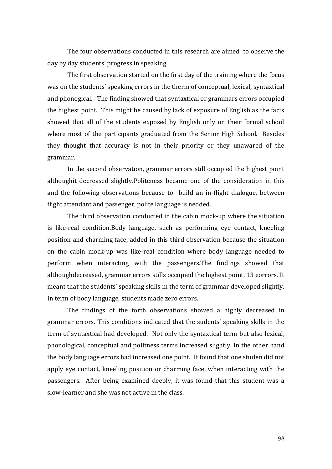The four observations conducted in this research are aimed to observe the day by day students' progress in speaking.

The first observation started on the first day of the training where the focus was on the students' speaking errors in the therm of conceptual, lexical, syntaxtical and phonogical. The finding showed that syntaxtical or grammars errors occupied the highest point. This might be caused by lack of exposure of English as the facts showed that all of the students exposed by English only on their formal school where most of the participants graduated from the Senior High School. Besides they thought that accuracy is not in their priority or they unawared of the grammar.

In the second observation, grammar errors still occupied the highest point althoughit decreased slightly.Politeness became one of the consideration in this and the following observations because to build an in-flight dialogue, between flight attendant and passenger, polite language is nedded.

The third observation conducted in the cabin mock-up where the situation is like-real condition.Body language, such as performing eye contact, kneeling position and charming face, added in this third observation because the situation on the cabin mock-up was like-real condition where body language needed to perform when interacting with the passengers.The findings showed that althoughdecreased, grammar errors stills occupied the highest point, 13 eorrors. It meant that the students' speaking skills in the term of grammar developed slightly. In term of body language, students made zero errors.

The findings of the forth observations showed a highly decreased in grammar errors. This conditions indicated that the sudents' speaking skills in the term of syntaxtical had developed. Not only the syntaxtical term but also lexical, phonological, conceptual and politness terms increased slightly. In the other hand the body language errors had increased one point. It found that one studen did not apply eye contact, kneeling position or charming face, when interacting with the passengers. After being examined deeply, it was found that this student was a slow-learner and she was not active in the class.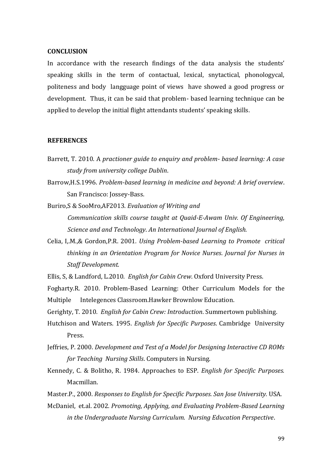### **CONCLUSION**

In accordance with the research findings of the data analysis the students' speaking skills in the term of contactual, lexical, snytactical, phonologycal, politeness and body langguage point of views have showed a good progress or development. Thus, it can be said that problem- based learning technique can be applied to develop the initial flight attendants students' speaking skills.

### **REFERENCES**

- Barrett, T. 2010. A *practioner guide to enquiry and problem- based learning: A case study from university college Dublin*.
- Barrow,H.S.1996. *Problem-based learning in medicine and beyond: A brief overview*. San Francisco: Jossey-Bass.
- Buriro,S & SooMro,AF2013. *Evaluation of Writing and Communication skills course taught at Quaid-E-Awam Univ. Of Engineering, Science and and Technology*. *An International Journal of English.*
- Celia, I,.M.,& Gordon,P.R. 2001*. Using Problem-based Learning to Promote critical thinking in an Orientation Program for Novice Nurses*. *Journal for Nurses in Staff Development.*
- Ellis, S, & Landford, L.2010. *English for Cabin Crew*. Oxford University Press.
- Fogharty.R. 2010. Problem-Based Learning: Other Curriculum Models for the Multiple Intelegences Classroom.Hawker Brownlow Education.
- Gerighty, T. 2010*. English for Cabin Crew: Introduction*. Summertown publishing.
- Hutchison and Waters. 1995. *English for Specific Purposes*. Cambridge University Press.
- Jeffries, P. 2000. *Development and Test of a Model for Designing Interactive CD ROMs for Teaching Nursing Skills*. Computers in Nursing.
- Kennedy, C. & Bolitho, R. 1984. Approaches to ESP. *English for Specific Purposes.*  Macmillan.
- Master.P., 2000. *Responses to English for Specific Purposes. San Jose University.* USA.
- McDaniel, et.al. 2002. *Promoting, Applying, and Evaluating Problem-Based Learning in the Undergraduate Nursing Curriculum. Nursing Education Perspective*.